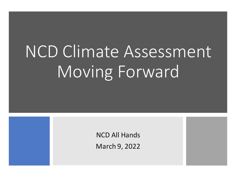# NCD Climate Assessment Moving Forward

NCD All Hands

March 9, 2022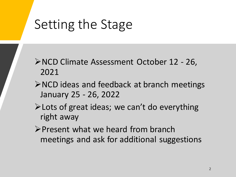# Setting the Stage

- ➢NCD Climate Assessment October 12 26, 2021
- ➢NCD ideas and feedback at branch meetings January 25 - 26, 2022
- ➢Lots of great ideas; we can't do everything right away
- ➢Present what we heard from branch meetings and ask for additional suggestions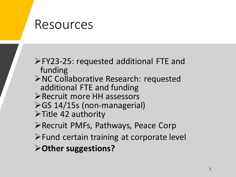### Resources

➢FY23-25: requested additional FTE and funding

- ➢NC Collaborative Research: requested additional FTE and funding
- ➢Recruit more HH assessors
- ➢GS 14/15s (non-managerial)
- ➢Title 42 authority

➢Recruit PMFs, Pathways, Peace Corp

- ➢Fund certain training at corporate level
- ➢**Other suggestions?**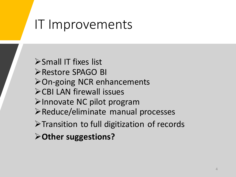## IT Improvements

➢Small IT fixes list ➢Restore SPAGO BI ➢On-going NCR enhancements ➢CBI LAN firewall issues ➢Innovate NC pilot program ➢Reduce/eliminate manual processes ➢Transition to full digitization of records ➢**Other suggestions?**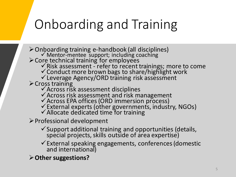# Onboarding and Training

➢Onboarding training e-handbook (all disciplines) ✓ Mentor-mentee support; including coaching ➢Core technical training for employees ✓Risk assessment - refer to recent trainings; more to come ✓Conduct more brown bags to share/highlight work ✓Leverage Agency/ORD training risk assessment  $\triangleright$  Cross training ✓Across risk assessment disciplines ✓Across risk assessment and risk management ✓Across EPA offices (ORD immersion process) ✓External experts (other governments, industry, NGOs) ✓Allocate dedicated time for training ➢Professional development ✓Support additional training and opportunities (details, special projects, skills outside of area expertise)

✓External speaking engagements, conferences (domestic and international)

➢**Other suggestions?**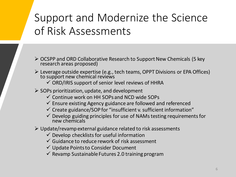### Support and Modernize the Science of Risk Assessments

- ➢ OCSPP and ORD Collaborative Research to Support New Chemicals (5 key research areas proposed)
- ➢ Leverage outside expertise (e.g., tech teams, OPPT Divisions or EPA Offices) to support new chemical reviews
	- $\checkmark$  ORD/IRIS support of senior level reviews of HHRA
- $\triangleright$  SOPs prioritization, update, and development
	- ✓ Continue work on HH SOPs and NCD wide SOPs
	- $\checkmark$  Ensure existing Agency guidance are followed and referenced
	- $\checkmark$  Create guidance/SOP for "insufficient v. sufficient information"
	- $\checkmark$  Develop guiding principles for use of NAMs testing requirements for new chemicals
- $\triangleright$  Update/revamp external guidance related to risk assessments
	- $\checkmark$  Develop checklists for useful information
	- $\checkmark$  Guidance to reduce rework of risk assessment
	- $\checkmark$  Update Points to Consider Document
	- $\checkmark$  Revamp Sustainable Futures 2.0 training program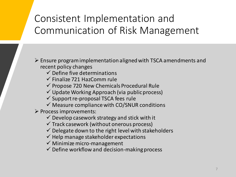### Consistent Implementation and Communication of Risk Management

➢ Ensure program implementation aligned with TSCA amendments and recent policy changes

- $\checkmark$  Define five determinations
- $\checkmark$  Finalize 721 HazComm rule
- $\checkmark$  Propose 720 New Chemicals Procedural Rule
- ✓ Update Working Approach (via public process)
- $\checkmark$  Support re-proposal TSCA fees rule
- $\checkmark$  Measure compliance with CO/SNUR conditions

➢ Process improvements:

- $\checkmark$  Develop casework strategy and stick with it
- $\checkmark$  Track casework (without onerous process)
- $\checkmark$  Delegate down to the right level with stakeholders
- $\checkmark$  Help manage stakeholder expectations
- $\checkmark$  Minimize micro-management
- $\checkmark$  Define workflow and decision-making process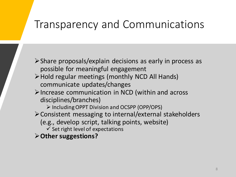### Transparency and Communications

➢Share proposals/explain decisions as early in process as possible for meaningful engagement

- ➢Hold regular meetings (monthly NCD All Hands) communicate updates/changes
- ➢Increase communication in NCD (within and across disciplines/branches)

➢ Including OPPT Division and OCSPP (OPP/OPS)

- ➢Consistent messaging to internal/external stakeholders
	- (e.g., develop script, talking points, website)

 $\checkmark$  Set right level of expectations

➢**Other suggestions?**